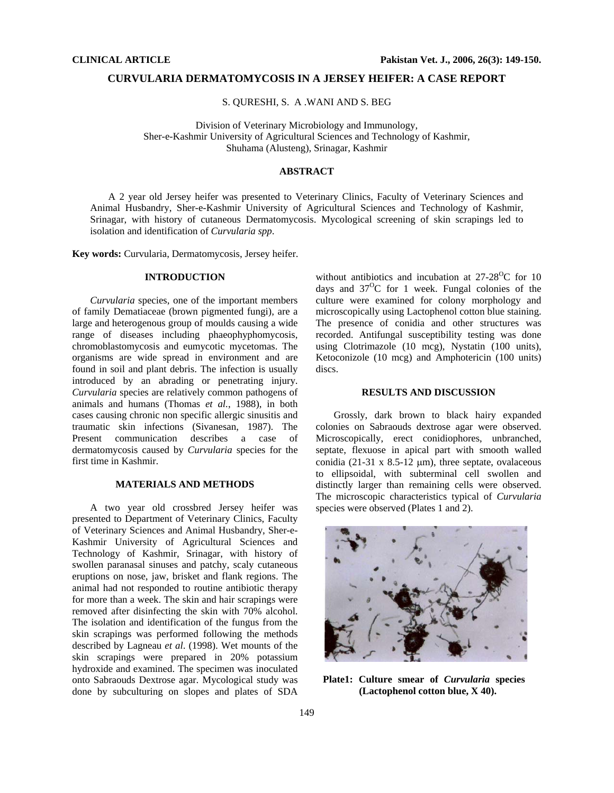#### **CURVULARIA DERMATOMYCOSIS IN A JERSEY HEIFER: A CASE REPORT**

S. QURESHI, S. A .WANI AND S. BEG

Division of Veterinary Microbiology and Immunology, Sher-e-Kashmir University of Agricultural Sciences and Technology of Kashmir, Shuhama (Alusteng), Srinagar, Kashmir

## **ABSTRACT**

A 2 year old Jersey heifer was presented to Veterinary Clinics, Faculty of Veterinary Sciences and Animal Husbandry, Sher-e-Kashmir University of Agricultural Sciences and Technology of Kashmir, Srinagar, with history of cutaneous Dermatomycosis. Mycological screening of skin scrapings led to isolation and identification of *Curvularia spp*.

**Key words:** Curvularia, Dermatomycosis, Jersey heifer.

### **INTRODUCTION**

*Curvularia* species, one of the important members of family Dematiaceae (brown pigmented fungi), are a large and heterogenous group of moulds causing a wide range of diseases including phaeophyphomycosis, chromoblastomycosis and eumycotic mycetomas. The organisms are wide spread in environment and are found in soil and plant debris. The infection is usually introduced by an abrading or penetrating injury. *Curvularia* species are relatively common pathogens of animals and humans (Thomas *et al.*, 1988), in both cases causing chronic non specific allergic sinusitis and traumatic skin infections (Sivanesan, 1987). The Present communication describes a case of dermatomycosis caused by *Curvularia* species for the first time in Kashmir.

# **MATERIALS AND METHODS**

A two year old crossbred Jersey heifer was presented to Department of Veterinary Clinics, Faculty of Veterinary Sciences and Animal Husbandry, Sher-e-Kashmir University of Agricultural Sciences and Technology of Kashmir, Srinagar, with history of swollen paranasal sinuses and patchy, scaly cutaneous eruptions on nose, jaw, brisket and flank regions. The animal had not responded to routine antibiotic therapy for more than a week. The skin and hair scrapings were removed after disinfecting the skin with 70% alcohol. The isolation and identification of the fungus from the skin scrapings was performed following the methods described by Lagneau *et al*. (1998). Wet mounts of the skin scrapings were prepared in 20% potassium hydroxide and examined. The specimen was inoculated onto Sabraouds Dextrose agar. Mycological study was done by subculturing on slopes and plates of SDA

without antibiotics and incubation at  $27-28\text{°C}$  for 10 days and  $37^{\circ}$ C for 1 week. Fungal colonies of the culture were examined for colony morphology and microscopically using Lactophenol cotton blue staining. The presence of conidia and other structures was recorded. Antifungal susceptibility testing was done using Clotrimazole (10 mcg), Nystatin (100 units), Ketoconizole (10 mcg) and Amphotericin (100 units) discs.

#### **RESULTS AND DISCUSSION**

Grossly, dark brown to black hairy expanded colonies on Sabraouds dextrose agar were observed. Microscopically, erect conidiophores, unbranched, septate, flexuose in apical part with smooth walled conidia (21-31 x 8.5-12  $\mu$ m), three septate, ovalaceous to ellipsoidal, with subterminal cell swollen and distinctly larger than remaining cells were observed. The microscopic characteristics typical of *Curvularia* species were observed (Plates 1 and 2).



**Plate1: Culture smear of** *Curvularia* **species (Lactophenol cotton blue, X 40).**